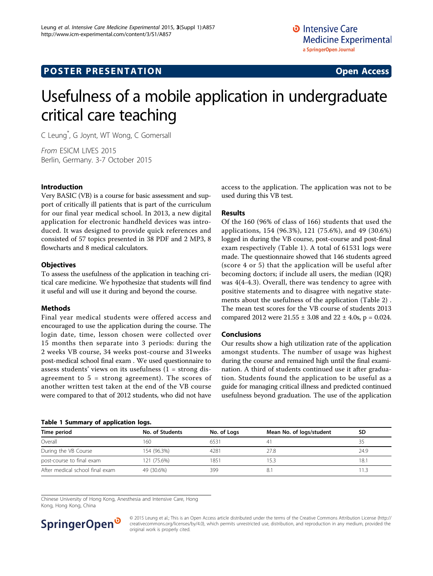# Usefulness of a mobile application in undergraduate critical care teaching

C Leung\* , G Joynt, WT Wong, C Gomersall

From ESICM LIVES 2015 Berlin, Germany. 3-7 October 2015

# Introduction

Very BASIC (VB) is a course for basic assessment and support of critically ill patients that is part of the curriculum for our final year medical school. In 2013, a new digital application for electronic handheld devices was introduced. It was designed to provide quick references and consisted of 57 topics presented in 38 PDF and 2 MP3, 8 flowcharts and 8 medical calculators.

## **Objectives**

To assess the usefulness of the application in teaching critical care medicine. We hypothesize that students will find it useful and will use it during and beyond the course.

# Methods

Final year medical students were offered access and encouraged to use the application during the course. The login date, time, lesson chosen were collected over 15 months then separate into 3 periods: during the 2 weeks VB course, 34 weeks post-course and 31weeks post-medical school final exam . We used questionnaire to assess students' views on its usefulness (1 = strong disagreement to  $5 =$  strong agreement). The scores of another written test taken at the end of the VB course were compared to that of 2012 students, who did not have

#### Table 1 Summary of application logs.

access to the application. The application was not to be used during this VB test.

#### Results

Of the 160 (96% of class of 166) students that used the applications, 154 (96.3%), 121 (75.6%), and 49 (30.6%) logged in during the VB course, post-course and post-final exam respectively (Table 1). A total of 61531 logs were made. The questionnaire showed that 146 students agreed (score 4 or 5) that the application will be useful after becoming doctors; if include all users, the median (IQR) was 4(4-4.3). Overall, there was tendency to agree with positive statements and to disagree with negative statements about the usefulness of the application (Table [2](#page-1-0)) . The mean test scores for the VB course of students 2013 compared 2012 were  $21.55 \pm 3.08$  and  $22 \pm 4.0$ s, p = 0.024.

# Conclusions

Our results show a high utilization rate of the application amongst students. The number of usage was highest during the course and remained high until the final examination. A third of students continued use it after graduation. Students found the application to be useful as a guide for managing critical illness and predicted continued usefulness beyond graduation. The use of the application

| Time period                     | No. of Students | No. of Logs | Mean No. of logs/student | SD   |
|---------------------------------|-----------------|-------------|--------------------------|------|
| Overall                         | 160             | 6531        | 41                       | 35   |
| During the VB Course            | 154 (96.3%)     | 4281        | 27.8                     | 24.9 |
| post-course to final exam       | 121 (75.6%)     | 1851        | 15.3                     | 18.1 |
| After medical school final exam | 49 (30.6%)      | 399         | 8.                       | 11.3 |

Chinese University of Hong Kong, Anesthesia and Intensive Care, Hong Kong, Hong Kong, China



© 2015 Leung et al.; This is an Open Access article distributed under the terms of the Creative Commons Attribution License [\(http://](http://creativecommons.org/licenses/by/4.0) [creativecommons.org/licenses/by/4.0](http://creativecommons.org/licenses/by/4.0)), which permits unrestricted use, distribution, and reproduction in any medium, provided the original work is properly cited.